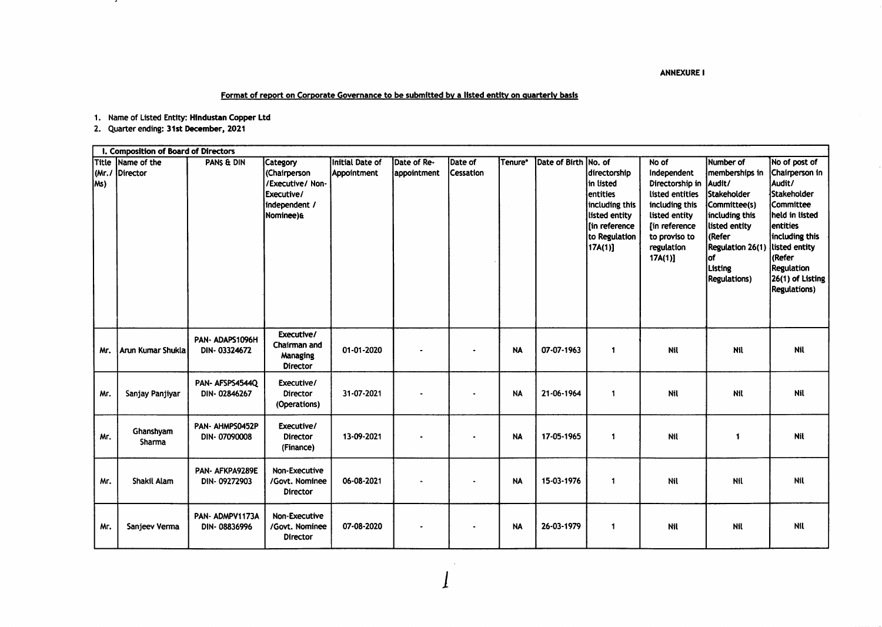**ANNEXURE I** 

Format of report on Corporate Governance to be submitted by a listed entity on quarterly basis

1. Name of Listed Entity: Hindustan Copper Ltd

2. Quarter ending: 31st December, 2021

 $\cdot$ 

|      | I. Composition of Board of Directors |                                 |                                                                                          |                                |                            |                             |           |                      |                                                                                                                                  |                                                                                                                                                                      |                                                                                                                                                                                      |                                                                                                                                                                                                                            |
|------|--------------------------------------|---------------------------------|------------------------------------------------------------------------------------------|--------------------------------|----------------------------|-----------------------------|-----------|----------------------|----------------------------------------------------------------------------------------------------------------------------------|----------------------------------------------------------------------------------------------------------------------------------------------------------------------|--------------------------------------------------------------------------------------------------------------------------------------------------------------------------------------|----------------------------------------------------------------------------------------------------------------------------------------------------------------------------------------------------------------------------|
| lMs) | Title Name of the<br>(Mr./ Director  | PANS & DIN                      | Category<br>(Chairperson<br>/Executive/ Non-<br>Executive/<br>independent /<br>Nominee)& | Initial Date of<br>Appointment | Date of Re-<br>appointment | Date of<br><b>Cessation</b> | Tenure*   | Date of Birth No. of | <b>directorship</b><br>in listed<br>lentities<br>including this<br>listed entity<br>[in reference<br>to Regulation<br>$17A(1)$ ] | No of<br>Independent<br>Directorship in   Audit/<br>listed entities<br>including this<br>listed entity<br>[in reference<br>to proviso to<br>regulation<br>$17A(1)$ ] | Number of<br>Imemberships in<br><b>Stakeholder</b><br>Committee(s)<br>including this<br>listed entity<br>(Refer<br><b>Regulation 26(1)</b><br>lof<br>Listing<br><b>Regulations</b> ) | No of post of<br>Chairperson in<br>Audit/<br>İStakeholder<br><b>Committee</b><br>held in listed<br>lentities<br>including this<br>listed entity<br>(Refer<br><b>Regulation</b><br>26(1) of Listing<br><b>Regulations</b> ) |
| Mr.  | Arun Kumar Shukla                    | PAN-ADAPS1096H<br>DIN-03324672  | Executive/<br>Chairman and<br>Managing<br><b>Director</b>                                | 01-01-2020                     |                            |                             | <b>NA</b> | 07-07-1963           | 1                                                                                                                                | Nil                                                                                                                                                                  | Nil                                                                                                                                                                                  | Nil                                                                                                                                                                                                                        |
| Mr.  | Sanjay Panjiyar                      | PAN-AFSPS4544Q<br>DIN-02846267  | Executive/<br><b>Director</b><br>(Operations)                                            | 31-07-2021                     |                            |                             | <b>NA</b> | 21-06-1964           | 1                                                                                                                                | <b>Nil</b>                                                                                                                                                           | Nil                                                                                                                                                                                  | Nil                                                                                                                                                                                                                        |
| Mr.  | Ghanshyam<br>Sharma                  | PAN- AHMPS0452P<br>DIN-07090008 | Executive/<br><b>Director</b><br>(Finance)                                               | 13-09-2021                     |                            |                             | <b>NA</b> | 17-05-1965           | 1                                                                                                                                | Nil                                                                                                                                                                  | -1                                                                                                                                                                                   | Nil                                                                                                                                                                                                                        |
| Mr.  | Shakil Alam                          | PAN-AFKPA9289E<br>DIN-09272903  | Non-Executive<br>/Govt. Nominee<br><b>Director</b>                                       | 06-08-2021                     |                            |                             | <b>NA</b> | 15-03-1976           | $\blacktriangleleft$                                                                                                             | Nil                                                                                                                                                                  | Nil                                                                                                                                                                                  | Nil                                                                                                                                                                                                                        |
| Mr.  | Sanjeev Verma                        | PAN-ADMPV1173A<br>DIN-08836996  | <b>Non-Executive</b><br>/Govt. Nominee<br><b>Director</b>                                | 07-08-2020                     |                            |                             | <b>NA</b> | 26-03-1979           | 1                                                                                                                                | Nil                                                                                                                                                                  | Nil                                                                                                                                                                                  | Nil                                                                                                                                                                                                                        |

 $\sim$   $\sim$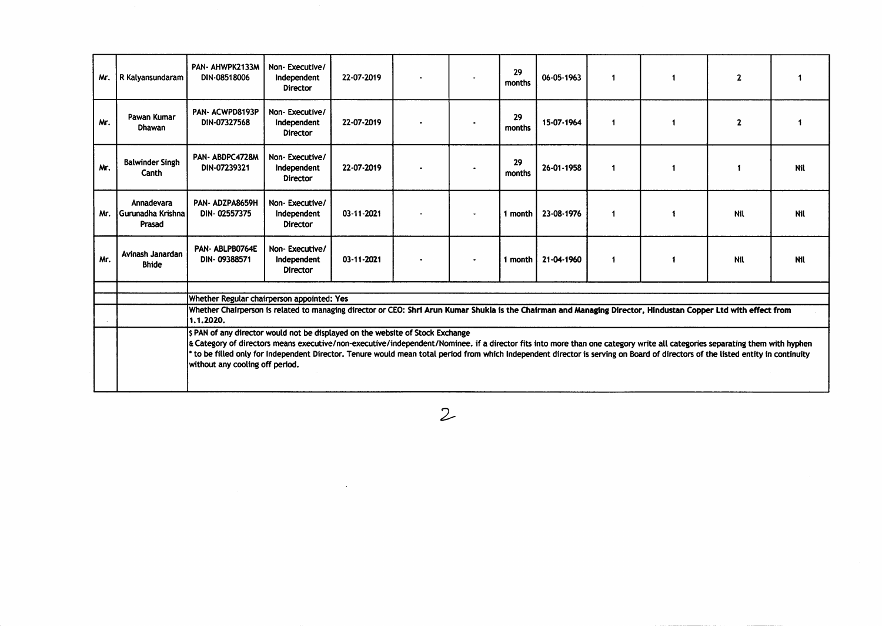| Mr. | R Kalyansundaram                          | PAN- AHWPK2133M<br>DIN-08518006                                                                                                                                                                                                                                                                                                                                                                 | Non-Executive/<br>Independent<br><b>Director</b> | 22-07-2019 |  | 29<br>months | 06-05-1963         | $\blacktriangleleft$ | $\mathbf{2}$ |            |
|-----|-------------------------------------------|-------------------------------------------------------------------------------------------------------------------------------------------------------------------------------------------------------------------------------------------------------------------------------------------------------------------------------------------------------------------------------------------------|--------------------------------------------------|------------|--|--------------|--------------------|----------------------|--------------|------------|
| Mr. | Pawan Kumar<br><b>Dhawan</b>              | PAN- ACWPD8193P<br>DIN-07327568                                                                                                                                                                                                                                                                                                                                                                 | Non-Executive/<br>Independent<br><b>Director</b> | 22-07-2019 |  | 29<br>months | 15-07-1964         | $\blacktriangleleft$ | $\mathbf{2}$ |            |
| Mr. | <b>Balwinder Singh</b><br>Canth           | PAN-ABDPC4728M<br>DIN-07239321                                                                                                                                                                                                                                                                                                                                                                  | Non-Executive/<br>Independent<br><b>Director</b> | 22-07-2019 |  | 29<br>months | 26-01-1958         | $\blacktriangleleft$ |              | Nit        |
| Mr. | Annadevara<br>Gurunadha Krishna<br>Prasad | PAN-ADZPA8659H<br>DIN-02557375                                                                                                                                                                                                                                                                                                                                                                  | Non-Executive/<br>Independent<br><b>Director</b> | 03-11-2021 |  | 1 month      | 23-08-1976         |                      | Nil          | Nil        |
| Mr. | Avinash Janardan<br><b>Bhide</b>          | PAN-ABLPB0764E<br>DIN-09388571                                                                                                                                                                                                                                                                                                                                                                  | Non-Executive/<br>Independent<br><b>Director</b> | 03-11-2021 |  |              | 1 month 21-04-1960 | $\mathbf{1}$         | Nil          | <b>Nil</b> |
|     |                                           |                                                                                                                                                                                                                                                                                                                                                                                                 |                                                  |            |  |              |                    |                      |              |            |
|     |                                           | Whether Regular chairperson appointed: Yes<br>Whether Chairperson is related to managing director or CEO: Shri Arun Kumar Shukla is the Chairman and Managing Director, Hindustan Copper Ltd with effect from                                                                                                                                                                                   |                                                  |            |  |              |                    |                      |              |            |
|     |                                           | 1.1.2020.                                                                                                                                                                                                                                                                                                                                                                                       |                                                  |            |  |              |                    |                      |              |            |
|     |                                           | S PAN of any director would not be displayed on the website of Stock Exchange                                                                                                                                                                                                                                                                                                                   |                                                  |            |  |              |                    |                      |              |            |
|     |                                           | & Category of directors means executive/non-executive/independent/Nominee. if a director fits into more than one category write all categories separating them with hyphen<br>to be filled only for Independent Director. Tenure would mean total period from which Independent director is serving on Board of directors of the listed entity in continuity<br>without any cooling off period. |                                                  |            |  |              |                    |                      |              |            |
|     |                                           |                                                                                                                                                                                                                                                                                                                                                                                                 |                                                  |            |  |              |                    |                      |              |            |

 $\mathcal{L}^{\text{max}}_{\text{max}}$ 

 $\mathcal{Z}$ 

 $\mathcal{L}^{\text{max}}_{\text{max}}$  and  $\mathcal{L}^{\text{max}}_{\text{max}}$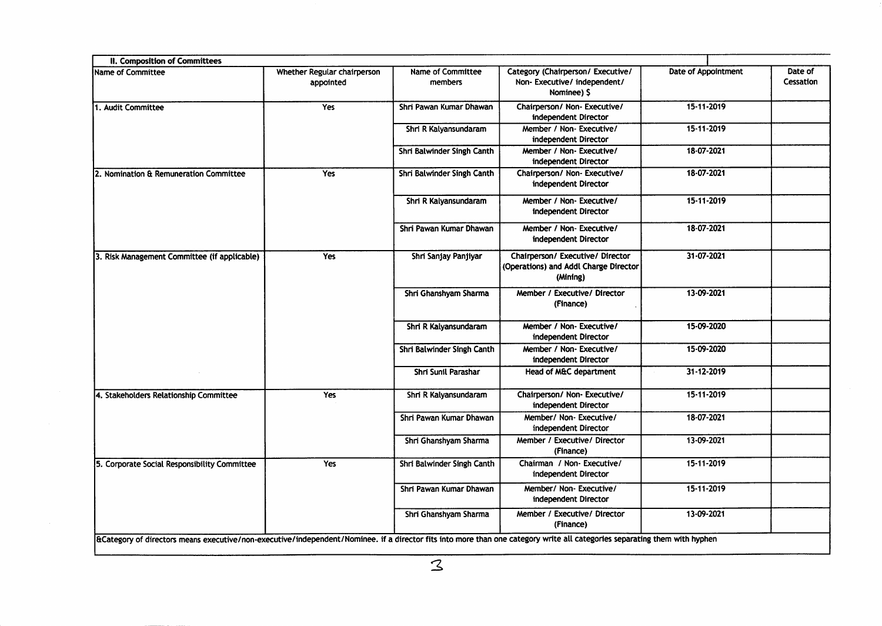| II. Composition of Committees                |                                          |                                     |                                                                                       |                     |                      |
|----------------------------------------------|------------------------------------------|-------------------------------------|---------------------------------------------------------------------------------------|---------------------|----------------------|
| Name of Committee                            | Whether Regular chairperson<br>appointed | <b>Name of Committee</b><br>members | Category (Chairperson/ Executive/<br>Non-Executive/independent/<br>Nominee) \$        | Date of Appointment | Date of<br>Cessation |
| 1. Audit Committee                           | Yes                                      | Shri Pawan Kumar Dhawan             | Chairperson/ Non- Executive/<br>independent Director                                  | 15-11-2019          |                      |
|                                              |                                          | Shri R Kalyansundaram               | Member / Non-Executive/<br>independent Director                                       | 15-11-2019          |                      |
|                                              |                                          | Shri Balwinder Singh Canth          | Member / Non- Executive/<br>independent Director                                      | 18-07-2021          |                      |
| 2. Nomination & Remuneration Committee       | Yes                                      | Shri Balwinder Singh Canth          | Chairperson/ Non- Executive/<br>independent Director                                  | 18-07-2021          |                      |
|                                              |                                          | Shri R Kalyansundaram               | Member / Non-Executive/<br>independent Director                                       | 15-11-2019          |                      |
|                                              |                                          | Shri Pawan Kumar Dhawan             | Member / Non- Executive/<br>independent Director                                      | 18-07-2021          |                      |
| 3. Risk Management Committee (if applicable) | Yes                                      | Shri Sanjay Panjiyar                | Chairperson/ Executive/ Director<br>(Operations) and Addl Charge Director<br>(Mining) | 31-07-2021          |                      |
|                                              |                                          | Shri Ghanshyam Sharma               | Member / Executive/ Director<br>(Finance)                                             | 13-09-2021          |                      |
|                                              |                                          | Shri R Kalyansundaram               | Member / Non- Executive/<br>independent Director                                      | 15-09-2020          |                      |
|                                              |                                          | Shri Balwinder Singh Canth          | Member / Non-Executive/<br>independent Director                                       | 15-09-2020          |                      |
|                                              |                                          | Shri Sunil Parashar                 | Head of M&C department                                                                | 31-12-2019          |                      |
| 4. Stakeholders Relationship Committee       | Yes                                      | Shri R Kalyansundaram               | Chairperson/ Non- Executive/<br>independent Director                                  | 15-11-2019          |                      |
|                                              |                                          | Shri Pawan Kumar Dhawan             | Member/ Non-Executive/<br>independent Director                                        | 18-07-2021          |                      |
|                                              |                                          | Shri Ghanshyam Sharma               | Member / Executive/ Director<br>(Finance)                                             | 13-09-2021          |                      |
| 5. Corporate Social Responsibility Committee | Yes                                      | Shri Balwinder Singh Canth          | Chairman / Non-Executive/<br>independent Director                                     | 15-11-2019          |                      |
|                                              |                                          | Shri Pawan Kumar Dhawan             | Member/ Non-Executive/<br>independent Director                                        | 15-11-2019          |                      |
|                                              |                                          | Shri Ghanshyam Sharma               | Member / Executive/ Director<br>(Finance)                                             | 13-09-2021          |                      |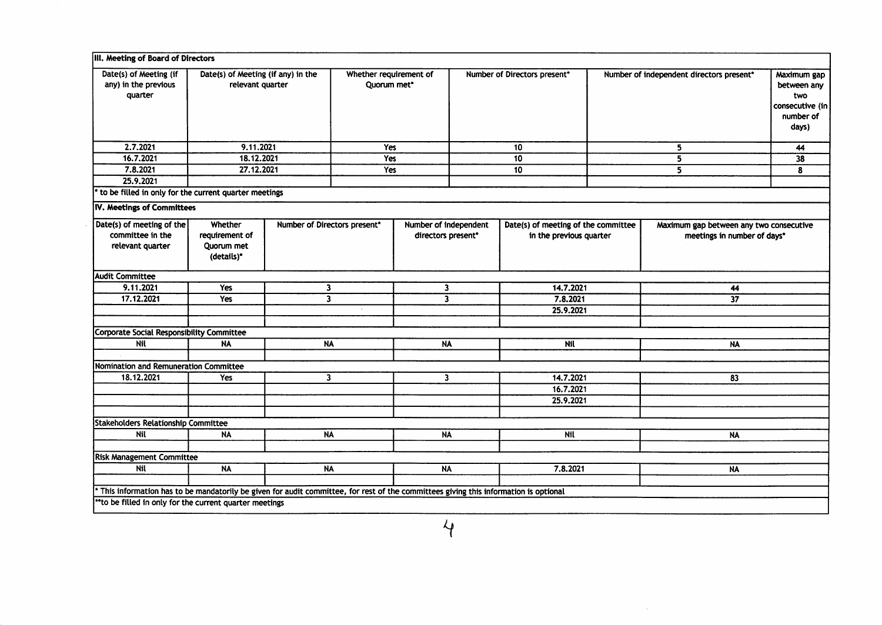| Date(s) of Meeting (if<br>any) in the previous        | Date(s) of Meeting (if any) in the<br>relevant quarter |                              | Whether requirement of<br>Quorum met* |                         | Number of Directors present* |                                     |   | Number of independent directors present* | Maximum gap        |
|-------------------------------------------------------|--------------------------------------------------------|------------------------------|---------------------------------------|-------------------------|------------------------------|-------------------------------------|---|------------------------------------------|--------------------|
| quarter                                               |                                                        |                              |                                       |                         |                              |                                     |   |                                          | between any<br>two |
|                                                       |                                                        |                              |                                       |                         |                              |                                     |   |                                          | consecutive (in    |
|                                                       |                                                        |                              |                                       |                         |                              |                                     |   |                                          | number of          |
|                                                       |                                                        |                              |                                       |                         |                              |                                     |   |                                          | days)              |
|                                                       |                                                        |                              |                                       |                         |                              |                                     |   |                                          |                    |
| 2.7.2021                                              | 9.11.2021                                              |                              | Yes                                   |                         |                              | 10                                  | 5 |                                          | 44                 |
| 16.7.2021                                             | 18.12.2021                                             |                              | Yes                                   |                         |                              | 10                                  |   | 5                                        | 38                 |
| 7.8.2021                                              | 27.12.2021                                             |                              | Yes                                   |                         |                              | 10                                  |   | 5                                        | 8                  |
| 25.9.2021                                             |                                                        |                              |                                       |                         |                              |                                     |   |                                          |                    |
| to be filled in only for the current quarter meetings |                                                        |                              |                                       |                         |                              |                                     |   |                                          |                    |
| IV. Meetings of Committees                            |                                                        |                              |                                       |                         |                              |                                     |   |                                          |                    |
| Date(s) of meeting of the                             | Whether                                                | Number of Directors present* |                                       | Number of independent   |                              | Date(s) of meeting of the committee |   | Maximum gap between any two consecutive  |                    |
| committee in the                                      | requirement of                                         |                              |                                       | directors present*      |                              | in the previous quarter             |   | meetings in number of days*              |                    |
| relevant quarter                                      | Quorum met                                             |                              |                                       |                         |                              |                                     |   |                                          |                    |
|                                                       | (details)*                                             |                              |                                       |                         |                              |                                     |   |                                          |                    |
| <b>Audit Committee</b>                                |                                                        |                              |                                       |                         |                              |                                     |   |                                          |                    |
| 9.11.2021                                             | Yes                                                    | $\mathbf{3}$                 |                                       | $\overline{\mathbf{3}}$ |                              | 14.7.2021                           |   | 44                                       |                    |
| 17.12.2021                                            | Yes                                                    | $\overline{\mathbf{3}}$      |                                       | $\overline{\mathbf{3}}$ |                              | 7.8.2021                            |   | $\overline{37}$                          |                    |
|                                                       |                                                        |                              |                                       |                         |                              | 25.9.2021                           |   |                                          |                    |
| <b>Corporate Social Responsibility Committee</b>      |                                                        |                              |                                       |                         |                              |                                     |   |                                          |                    |
| Nil                                                   | <b>NA</b>                                              | <b>NA</b>                    |                                       | N                       |                              | <b>Nil</b>                          |   | <b>NA</b>                                |                    |
|                                                       |                                                        |                              |                                       |                         |                              |                                     |   |                                          |                    |
| Nomination and Remuneration Committee                 |                                                        |                              |                                       |                         |                              |                                     |   |                                          |                    |
| 18.12.2021                                            | Yes                                                    | $\overline{\mathbf{3}}$      |                                       | $\overline{\mathbf{3}}$ |                              | 14.7.2021                           |   | 83                                       |                    |
|                                                       |                                                        |                              |                                       |                         |                              | 16.7.2021                           |   |                                          |                    |
|                                                       |                                                        |                              |                                       |                         |                              | 25.9.2021                           |   |                                          |                    |
|                                                       |                                                        |                              |                                       |                         |                              |                                     |   |                                          |                    |
| <b>Stakeholders Relationship Committee</b>            |                                                        |                              |                                       |                         |                              |                                     |   |                                          |                    |
| Nil                                                   | <b>NA</b>                                              | <b>NA</b>                    |                                       | <b>NA</b>               |                              | <b>Nil</b>                          |   | NA                                       |                    |
| <b>Risk Management Committee</b>                      |                                                        |                              |                                       |                         |                              |                                     |   |                                          |                    |
| Nil                                                   | <b>NA</b>                                              | <b>NA</b>                    |                                       | <b>NA</b>               |                              | 7.8.2021                            |   | <b>NA</b>                                |                    |
|                                                       |                                                        |                              |                                       |                         |                              |                                     |   |                                          |                    |
|                                                       |                                                        |                              |                                       |                         |                              |                                     |   |                                          |                    |

 $\mathcal{L}^{\text{max}}_{\text{max}}$  and  $\mathcal{L}^{\text{max}}_{\text{max}}$